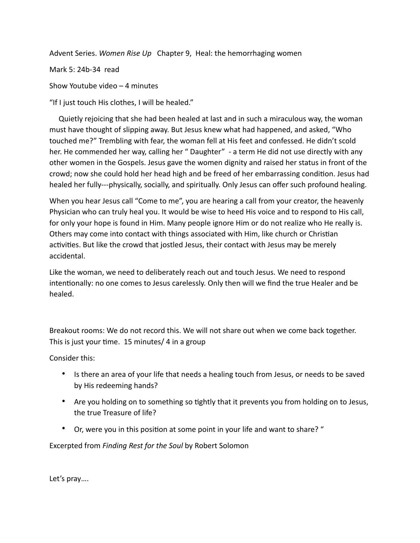Advent Series. *Women Rise Up* Chapter 9, Heal: the hemorrhaging women

Mark 5: 24b-34 read

Show Youtube video – 4 minutes

"If I just touch His clothes, I will be healed."

 Quietly rejoicing that she had been healed at last and in such a miraculous way, the woman must have thought of slipping away. But Jesus knew what had happened, and asked, "Who touched me?" Trembling with fear, the woman fell at His feet and confessed. He didn't scold her. He commended her way, calling her " Daughter" - a term He did not use directly with any other women in the Gospels. Jesus gave the women dignity and raised her status in front of the crowd; now she could hold her head high and be freed of her embarrassing condition. Jesus had healed her fully---physically, socially, and spiritually. Only Jesus can offer such profound healing.

When you hear Jesus call "Come to me", you are hearing a call from your creator, the heavenly Physician who can truly heal you. It would be wise to heed His voice and to respond to His call, for only your hope is found in Him. Many people ignore Him or do not realize who He really is. Others may come into contact with things associated with Him, like church or Christian activities. But like the crowd that jostled Jesus, their contact with Jesus may be merely accidental.

Like the woman, we need to deliberately reach out and touch Jesus. We need to respond intentionally: no one comes to Jesus carelessly. Only then will we find the true Healer and be healed.

Breakout rooms: We do not record this. We will not share out when we come back together. This is just your time. 15 minutes/ 4 in a group

Consider this:

- Is there an area of your life that needs a healing touch from Jesus, or needs to be saved by His redeeming hands?
- Are you holding on to something so tightly that it prevents you from holding on to Jesus, the true Treasure of life?
- Or, were you in this position at some point in your life and want to share? "

Excerpted from *Finding Rest for the Soul* by Robert Solomon

Let's pray….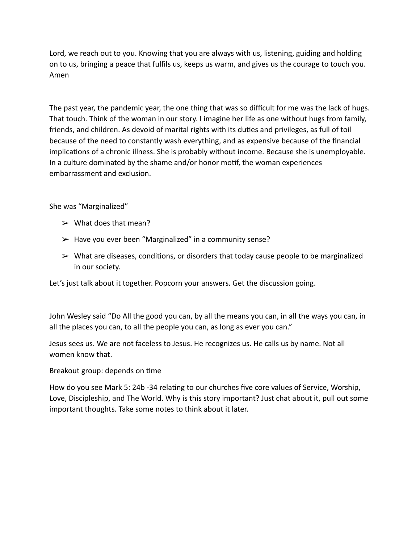Lord, we reach out to you. Knowing that you are always with us, listening, guiding and holding on to us, bringing a peace that fulfils us, keeps us warm, and gives us the courage to touch you. Amen

The past year, the pandemic year, the one thing that was so difficult for me was the lack of hugs. That touch. Think of the woman in our story. I imagine her life as one without hugs from family, friends, and children. As devoid of marital rights with its duties and privileges, as full of toil because of the need to constantly wash everything, and as expensive because of the financial implications of a chronic illness. She is probably without income. Because she is unemployable. In a culture dominated by the shame and/or honor motif, the woman experiences embarrassment and exclusion.

She was "Marginalized"

- $\triangleright$  What does that mean?
- $\triangleright$  Have you ever been "Marginalized" in a community sense?
- $\triangleright$  What are diseases, conditions, or disorders that today cause people to be marginalized in our society.

Let's just talk about it together. Popcorn your answers. Get the discussion going.

John Wesley said "Do All the good you can, by all the means you can, in all the ways you can, in all the places you can, to all the people you can, as long as ever you can."

Jesus sees us. We are not faceless to Jesus. He recognizes us. He calls us by name. Not all women know that.

Breakout group: depends on time

How do you see Mark 5: 24b -34 relating to our churches five core values of Service, Worship, Love, Discipleship, and The World. Why is this story important? Just chat about it, pull out some important thoughts. Take some notes to think about it later.